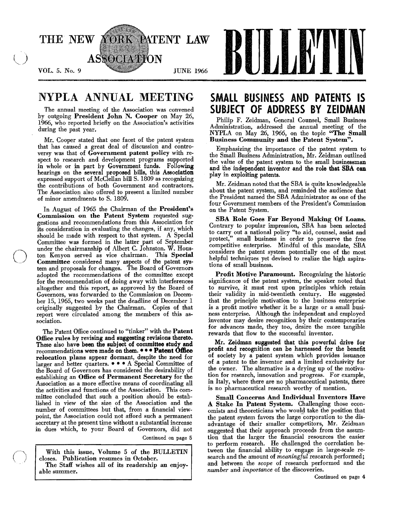

## NYPLA ANNUAL MEETING

The annual meeting of the Association was convened by outgoing President John N. Cooper on May 26, 1966, who reported briefly on the Association's activities during the past year.

Mr. Cooper stated that one facet of the patent system that has caused a great deal of discussion and controversy was that of Government patent policy with respect to research and development programs supported in whole or in part by Government funds. Following hearings on the several proposed bills, this Association expressed support of McClellan bill S. 1809 as recognizing the contributions of both Government and contractors. The Association also offered to present a limited number of minor amendments to S. 1809.

In August of 1965 the Chairman of the President's Commission on the Patent System requested suggestions and recommendations from this Association for its consideration in evaluating the changes, if any, which should be made with respect to that system. A Special Committee was formed in the latter part of September under the chairmanship of Albert C. Johnston. W. Hous-<br>ton Kenvon served as vice chairman. This Special ton Kenyon served as vice chairman. Committee considered many aspects of the patent system and proposals for changes. The Board of Governors adopted the recommendations of the committee except for the recommendation of doing away with interferences altogether and this report, as approved by the Board of Governors, was forwarded to the Commission on December 15, 1965, two weeks past the deadline of December 1 originally suggested by the Chairman. Copies of that report were circulated among the members of this association.

The Patent Office continued to "tinker" with the Patent Office rules by revising and suggesting revisions thereto. These also have been the subject of committee study and recommendations were made on them. • • • Patent Office relocation plans appear dormant, despite the need for larger and better quarters.  $\bullet \bullet \bullet A$  Special Committee of the Board of Governors has considered the desirability of establishing an Office of Permanent Secretary for the Association as a more effective means of coordinating all the activities and functions of the Association. This committee concluded that such a position should be established in view of the size of the Association and the number of committees but that, from a financial viewpoint, the Association could not afford such a permanent secretary at the present time without a substantial increase in dues which, to your Board of Governors, did not

Continued on page 5

With this issue, Volume 5 of the BULLETIN closes. Publication resumes in October. The Staff wishes all of its readership an enjoy able summer.

## SMALL BUSINESS AND PATENTS IS SUBJECT OF ADDRESS BY ZEIDMAN

Philip F. Zeidman, General Counsel, Small Business Administration, addressed the annual meeting of the NYPLA on May 26, 1966, on the topic "The Small Business Community and the Patent System".

Emphasizing the importance of the patent system to the Small Business Administration, Mr. Zeidman outlined the value of the patent system to the small businessman and the independent inventor and the role that SBA can play in exploiting patents.

Mr. Zeidman noted that the SBA is quite knowledgeable about the patent system, and reminded the audience that the President named the SBA Administrator as one of the four Government members of the President's Commission on the Patent System.

SBA Role Goes Far Beyond Making Of Loans. Contrary to popular impression, SBA has been selected to carry out a national policy "to aid, counsel, assist and protect," small business in order to preserve the free competitive enterprise. Mindful of this mandate, SBA considers the patent system potentially one of the most helpful techniques yet devised to realize the high aspirations of small business.

Profit Motive Paramount. Recognizing the historic significance of the patent system, the speaker noted that to survive, it must rest upon principles which retain their validity in mid-twentieth century. He suggested that the principle motivation to the business enterprise is a profit motive whether it be a large or a small business enterprise. Although the independent and employed inventor may desire recognition by their contemporaries for advances made, they too, desire the more tangible rewards that flow to the successful inventor.

Mr. Zeidman suggested that this powerful drive for profit and recognition can be harnessed for the benefit of society by a patent system which provides issuance of a patent to the inventor and a limited exclusivity for the owner. The alternative is a drying up of the motivation for research, innovation and progress. For example, in Italy, where there are no pharmaceutical patents, there is no pharmaceutical research worthy of mention.

Small Concerns And Individual Inventors Have A Stake In Patent System. Challenging those economists and theoreticians who would take the position that the patent system favors the large corporation to the disadvantage of their smaller competitors, Mr. Zeidman suggested that their approach proceeds from the assumtion that the larger the financial resources the easier to perform research. He challenged the correlation be tween the financial ability to engage in large-scale research and the amount of *meaningful* research performed; and between the *scope* of research performed and the *number* and *importance* of the discoveries.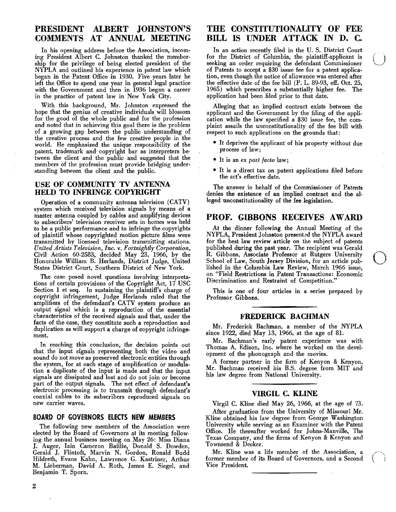### **PRESIDENT ALBERT JOHNSTON'S COMMENTS AT ANNUAL MEETING**

In his opening address before the Association, incoming President Albert C. Johnston thanked the membership for the privilege of being elected president of the NYPLA and outlined his experience in patent law which began in the Patent Office in 1930. Five years later he left the Office to spend one year in general legal practice with the Government and then in 1936 began a career in the practice of patent law in New York City.

With this background, Mr. Johnston expressed the hope that the genius of creative individuals will blossom for the good of the whole public and for the profession and noted that in achieving this goal there is the problem of a growing gap between the public understanding of the creative process and the few creative people in the world. He emphasized the unique responsibility of the patent, trademark and copyright bar as interpreters between the client and the public and suggested that the members of the profession must provide bridging understanding between the client and the public.

#### USE **OF COMMUNITY TV ANTENNA HELD TO INFRINGE COPYRIGHT**

Operation of a community antenna television (CATV) system which received television signals by means of a master antenna coupled by cables and amplifying devices to subscribers' television receiver sets in homes was held to be a public performance and to infringe the copyrights of plaintiff whose copyrighted motion picture films were transmitted by licensed television transmitting stations. *United Artists Television, Inc.* v. *Fortnightly Corporation,*  Civil Action 60-2583, decided May 23, 1966, by the Honorable William B. Herlands, District Judge, United States District Court, Southern District of New York.

The case posed novel questions involving interpretations of certain provisions of the Copyright Act, 17 USC Section 1 et seq. In sustaining the plaintiff's charge of copyright infringement, Judge Herlands ruled that the amplifiers of the defendant's CATV system produce an output signal which is a reproduction of the essential characteristics of the received signals and that, under the facts of the case, they constitute such a reproduction and duplication as will support a charge of copyright infringement.

In reaching this conclusion, the decision points out that the input signals representing both the video and sound do not move as preserved electronic entities through the system, for at each stage of amplification or modulation a duplicate of the input is made and that the input signals are dissipated and lost and do not join or become part of the output signals. The net effect of defendant's electronic processing is to transmit through defendant's coaxial cables to its subscribers reproduced signals on new carrier waves.

#### **BOARD OF GOVERNORS ELECTS NEW MEMBERS**

The following new members of the Association were elected by the Board of Governors at its meeting following the annual business meeting on May 26: Miss Diana J. Auger, lain Cameron Baillie, Donald S. Dowden, Gerald J. Flintoft, Marvin N. Gordon, Ronald Budd Hildreth, Evans Kahn, Lawrence G. Kastriner, Arthur M. Lieberman, David A. Roth, James E. Siegel, and Benjamin T. Sporn.

### **THE CONSTITUTIONALITY OF FEE BILL IS UNDER ATTACK IN D. C.**

In an action recently filed in the U. S. District Court for the District of Columbia, the plaintiff.applicant is In an action recently filed in the U.S. District Court<br>for the District of Columbia, the plaintiff-applicant is<br>seeking an order requiring the defendant Commissioner<br>of Patents to accent a \$30 issue for a patent applicaof Patents to accept a \$30 issue fee for a patent applica. tion, even though the notice of allowance was entered after the effective date of the fee bill  $(P. L. 89-93, \text{ eff. Oct. } 25,$ 1965) which prescribes a substantially higher fee. The application had been filed prior to that date.

Alleging that an implied contract exists between the applicant and the Government by the filing of the appli. cation while the law specified a \$30 issue fee, the com· plaint assails the unconstitutionality of the fee bill with respect to such applications on the grounds that:

- It deprives the applicant of his property without due process of law;
- It is an *ex post facto* law;
- It is a direct tax on patent applications filed before the act's effective date.

The answer in behalf of the Commissioner of Patents denies the existence of an implied contract and the al· leged unconstitutionality of the fee legislation.

#### **PROF. GIBBONS RECEIVES AWARD**

At the dinner following the Annual Meeting of the NYPLA, President Johnston presented the NYPLA award for the best law review article on the subject of patents published during the past year. The recipient was Gerald R. Gibbons, Associate Professor at Rutgers University School of Law, South Jersey Division, for an article published in the Columbia Law Review, March 1966 issue, on "Field Restrictions in Patent Transactions: Economic Discrimination and Restraint of Competition."

This is one of four articles in a series prepared by Professor Gibbons.

#### **FREDERICK BACHMAN**

Mr. Frederick Bachman, a member of the NYPLA since 1922, died May 13, 1966, at the age of 81.

Mr. Bachman's early patent experience was with Thomas A. Edison, Inc. where he worked on the devel· opment of the phonograph and the movies.

A former partner in the firm of Kenyon & Kenyon, Mr. Bachman received his B.S. degree from MIT and his law degree from National University.

#### **VIRGIL C. KLINE**

Virgil C. Kline died May 26, 1966, at the age of 73. After graduation from the University of Missouri Mr. Kline obtained his law degree from George Washington University while serving as an Examiner with the Patent Office. He thereafter worked for Johns-Manville, The Texas Company, and the firms of Kenyon & Kenyon and Townsend & Decker.

Mr. Kline was a life member of the Association, a former member of its Board of Governors, and a Second Vice President.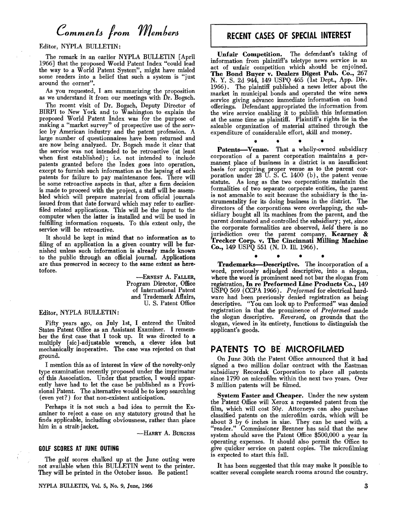# *Comments from Members*

Editor, NyPLA BULLETIN:

The remark in an earlier NYPLA BULLETIN [April 1966] that the proposed World Patent Index "could lead the way to a World Patent System", might have misled some readers into a belief that such a system is "just around the corner".

As you requested, I am summarizing the proposition as we understand it from our meetings with Dr. Bogsch.

The recent visit of Dr. Bogsch, Deputy Director of BIRPI to New York and to Washington to explain the proposed World Patent Index was for the purpose of making a "market survey" of prospective use of the service by American industry and the patent profession. A large number of questionnaires have heen returned and are now being analyzed. Dr. Bogsch made it clear that the service was not intended to be retroactive (at least when first established); i.e. not intended to include patents granted before the Index goes into operation, except to furnish such information as the lapsing of such patents for failure to pay maintenance fees. There will be some retroactive aspects in that, after a firm decision is made to proceed with the project, a staff will be assem· bled which will prepare material from official journals issued from that date forward which may refer to earlierfiled related applications. This will he the input to the computer when the latter is installed and will be used in fulfilling information requests. To this extent only, the service will be retroactive.

It should he kept in mind that no information as to filing of an application in a given country will be fur· nished unless such information is already made known to the public through an official journal. Applications are thus preserved in secrecy to the same extent as heretofore.

> -ERNEST A. FALLER, Program Director, Office of International Patent and Trademark Affairs, U. S. Patent Office

#### Editor, NYPLA BULLETIN:

Fifty years ago, on July 1st, I entered the United States Patent Office as an Assistant Examiner. I remem· ber the first case that I took up. It was directed to a multiply [sic].adjustable wrench, a clever idea but mechanically inoperative. The case was rejected on that ground. .

I mention this as of interest in view of the novelty-only type examination recently proposed under the imprimatur of this Association. Under that practice, I would apparently have had to let the case be published as a Provi· sional Patent. The alternative would be to keep searching (even yet?) for that non-existent anticipation.

Perhaps it is not such a bad idea to permit the Examiner to reject a case on any statutory ground that he finds applicable, including obviousness, rather than place him in a strait-jacket.

-HARRY A. BURGESS

#### GOLF SCORES AT JUNE OUTING

The golf scores chalked up at the June outing were not available when this BULLETIN went to the printer. They will be printed in the October issue. Be patient!

### RECENT CASES OF SPECIAL INTEREST

Unfair Competition. The defendant's taking of information from plaintiff's teletype news service is an act of unfair competition which should be enjoined. The Bond Buyer v. Dealers Digest Pub. Co., 267 N. Y. S. 2d 944, 149 USPQ 465 (1st Dept., App. Div. 1966). The plaintiff published a news letter about the market in municipal bonds and operated the wire news service giving advance immediate information on bond offerings. Defendant appropriated the information from the wire service enabling it to publish this information at the same time as plaintiff. Plaintiff's rights lie in the saleable organization of material attained through the expenditure of considerable effort, skill and money.

• • •

Patents-Venue. That a wholly-owned subsidiary corporation of a parent corporation maintains a permanent place of business in a district is an insufficient basis for acquiring proper venue as to the parent cor· poration under 28 U. S. C. 1400 (b), the patent venue statute. As long as the two corporations maintain the formalities of two separate corporate entities, the parent is not amenable to suit because the subsidiary is the in· strumentality for its doing business in the district. The directors of the corporations were overlapping, the subsidiary bought all its machines from the parent, and the parent dominated and controlled the subsidiary; yet, since the corporate formalities are observed, *held* there is no jurisdiction over the parent company, Kearney & Trecker Corp. v. The Cincinnati Milling Machine Co., 149 USPQ 551 (N. D. Ill. 1966).

• • • • • Trademarks-Descriptive. The incorporation of a word, previously adjudged descriptive, into a slogan, where the word is prominent need not bar the slogan from registration, In re Preformed Line Products Co., 149 USPQ 569 (CCPA 1966). *Preformed* for electrical hardware had been previously denied registration as being descriptive. "You can look up to Preformed" Was denied registration in that the prominence of *Preformed* made the slogan descriptive. *Reversed,* on grounds that the slogan, viewed in its entirety, functions to distinguish the applicant's goods.

#### PATENTS TO BE· MICROFILMED

On June 30th the Patent Office announced that it bad signed a two million dollar contract with the Eastman subsidiary Recordak Corporation to place all patents since 1790 on microfilm within the next two years. Over 3 million patents will be filmed.

System Faster and Cheaper. Under the new system the Patent Office will Xerox a requested patent from the film, which will cost  $50¢$ . Attorneys can also purchase classified patents on the microfilm cards, which will be about 3 by 6 inches in size. They can be used with a "reader." Commissioner Brenner has said that the new system should save the Patent Office \$500,000 a year in operating expenses. It should also permit the Office to give quicker service on patent copies. The microfilming is expected to start this fall.

It has been suggested that this may make it possible to scatter several complete search rooms around the country.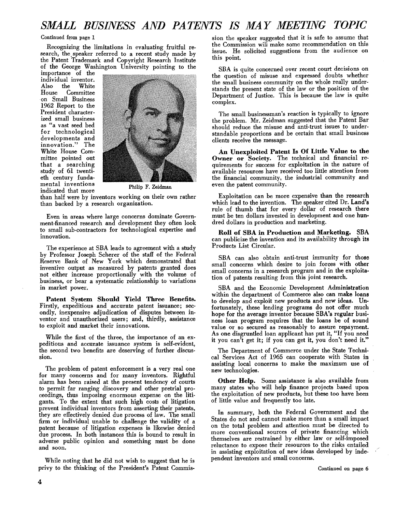### *SMALL BUSINESS AND PATENTS IS MAY MEETING TOPIC*

#### Continued from page 1

Recognizing the limitations in evaluating fruitful research, the speaker referred to a recent study made by the Patent Trademark and Copyright Research Institute of the George Washington University pointing to the

importance of the individual inventor. Also the White Committee on Small Business 1962 Report to the President characterized small business as "a vast seed bed for technological developments and innovation." The White House Committee pointed out that a searching study of 61 twentieth century fundamental inventions Thilip F. Zeidman indicated that more



than half were by inventors working on their own rather than backed by a research organization.

Even in areas where large concerns dominate Government-financed research and development they often look to small sub·contractors for technological expertise and innovation.

The experience at SBA leads to agreement with a study by Professor Joseph Scherer of the staff of the Federal Reserve Bank of New York which demonstrated that inventive output as measured by patents granted does not either increase proportionally with the volume of business, or bear a systematic relationship to variations in market power.

Patent System Should Yield Three Benefits. Firstly, expeditious and accurate patent issuance; sec· ondly, inexpensive adjudication of disputes between inventor and unauthorized users; and, thirdly, assistance to exploit and market their innovations.

While the first of the three, the importance of an expeditious and accurate issuance system is self-evident, the second two benefits are deserving of further discussion.

The problem of patent enforcement is a very real one for many concerns and for many inventors. Rightful alarm has been raised at the present tendency of courts to permit far ranging discovery and other pretrial proceedings, thus imposing enormous expense on the litigants. To the extent that such high costs of litigation prevent individual inventors from asserting their patents, they are effectively denied due process of law. The small firm or individual unable to challenge the validity of a patent because of litigation expenses is likewise denied due process. In both instances this is bound to result in adverse public opinion and something must be done and soon.

While noting that he did not wish to suggest that he is privy to the thinking of the President's Patent Commission the speaker suggested that it is safe to assume that the Commission will make some recommendation on this issue. He solicited suggestions from the audience on this point.

SBA is quite concerned over recent court decisions on the question of misuse and expressed doubts whether the small business community on the whole really understands the present state of the law or the position of the Department of Justice. This is because the law is quite complex.

The small businessman's reaction is typically to ignore the problem. Mr. Zeidman suggested that the Patent Bar should reduce the misuse and anti·trust issues to understandable proportions and be certain that small business clients receive the message.

An Unexploited Patent Is Of Little Value to the Owner or Society. The technical and financial requirements for success for exploitation in the nature of available resources have received too little attention from the financial community, the industrial community and even the patent community.

Exploitation can be more expensive than the research which lead to the invention. The speaker cited Dr. Land's rule of thumb that for every dollar of research there must be ten dollars invested in development and one hundred dollars in production and marketing.

Roll of SBA in Production and Marketing. SBA can publicize the invention and its availability through its Products List Circular.

SBA can also obtain anti-trust immunity for those small concerns which desire to join forces with other small concerns in a research program and in the exploitation of patents resulting from this joint research.

SBA and the Economic Development Administration within the department of Commerce also can make loans to develop and exploit new products and new ideas. Unfortunately, these lending programs do not offer much hope for the average inventor because SBA's regular business loan program requires that the loans be of sound value or so secured as reasonably to assure repayment. As one disgruntled loan applicant has put it, "If you need it you can't get it; if you can get it, you don't need it."

The Department of Commerce under the State Techni· cal Services Act of 1965 can cooperate with States in assisting local concerns to make the maximum use of new technologies.

Other Help. Some assistance is also available from many states who will help finance projects based upon the exploitation of new products, but these too have been of little value and frequently too late.

In summary, both the Federal Government and the States do not and cannot make more than a small impact on the total problem and attention must be directed to more conventional sources of private financing which themselves are restrained by either law or self-imposed reluctance to expose their resources to the risks entailed in assisting exploitation of new ideas developed by independent inventors and small concerns.

Continued on page 6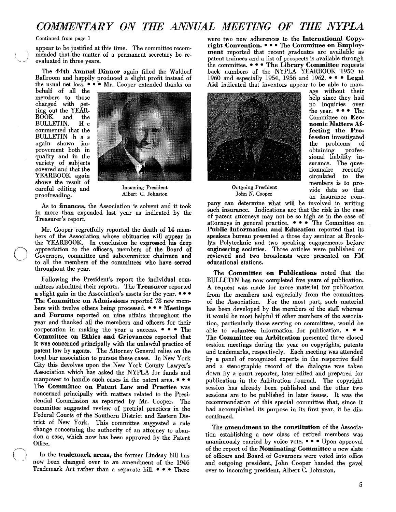### *COMMENTARY ON THE ANNUAL MEETING OF THE NYPLA*

#### Continued from page I

appear to be justified at this time. The committee recom mended that the matter of a permanent secretary be re-<br>evaluated in three years.

The 44th Annual Dinner again filled the Waldorf Ballroom and happily produced a slight profit instead of the usual net loss.  $\bullet \bullet \bullet$  Mr. Cooper extended thanks on

behalf of all the members to those charged with getting out the YEAR-<br>BOOK and the BOOK and the BULLETIN. H e commented that the BULLETIN has again shown improvement both in quality and in the variety of subjects covered and that the YEARBOOK again shows the result of careful editing and Theoming President carefreading and Michael Albert C. Johnston proofreading.



As to finances, the Association is solvent and it took in more than expended last year as indicated by the Treasurer's report.

Mr. Cooper regretfully reported the death of 14 members of the Association whose obituaries will appear in the YEARBOOK. In conclusion he expressed his deep appreciation to the officers, members of the Board of Governors, committee and subcommittee chairmen and to all the members of the committees who have served throughout the year.

Following the President's report the individual committees submitted their reports. The Treasurer reported a slight gain in the Association's assets for the year.  $\bullet \bullet \bullet$ The Committee on Admissions reported 78 new members with twelve others being processed.  $\bullet \bullet \bullet$  Meetings and Forums reported on nine affairs throughout the year and thanked all the members and officers for their cooperation in making the year a success.  $\bullet \bullet \bullet$  The Committee on Ethics and Grievances reported that it was concerned principally with the unlawful practice of patent law by agents. The Attorney General relies on the local bar association to pursue these cases. In New York City this devolves upon the New York County Lawyer's Association which has asked the NYPLA for funds and manpower to handle such cases in the patent area.  $\bullet \bullet \bullet$ The Committee on Patent Law and Practice was concerned principally with matters related to the Presidential Commission as reported by Mr. Cooper. The committee suggested review of pretrial practices in the Federal Courts of the Southern District and Eastern District of New York. This committee suggested a rule change concerning the authority of an attorney to abandon a case, which now has been approved by the Patent Office.

In the trademark areas, the former Lindsay bill has now been changed over to an amendment of the 1946 Trademark Act rather than a separate bill.  $\bullet \bullet \bullet$  There

were two new adherences to the International Copyright Convention.  $\bullet \bullet \bullet$  The Committee on Employment reported that recent graduates are available as patent trainees and a list of prospects is available through the committee.  $\bullet \bullet \bullet$  The Library Committee requests back numbers of the NYPLA YEARBOOK 1950 to 1960 and especially 1954, 1956 and 1962. • • • Legal Aid indicated that inventors appear to be able to man-



age without their help since they had no inquiries over the year.  $\bullet \bullet \bullet$  The Committee on Economic Matters Affecting the Profession investigated the problems of obtaining professional liability insurance. The ques-<br>tionnaire recently tionnaire circulated to the members is to pro-Outgoing President vide data so that<br>John N. Cooper an insurance com-

pany can determine what will be involved in writing such insurance. Indications are that the risk in the case of patent attorneys may not be so high as in the case of attorneys in general practice.  $\bullet \bullet \bullet$  The Committee on Public Information and Education reported that its speakers bureau presented a three day seminar at Brooklyn Polytechnic and two speaking engagements before engineering societies. Three articles were published or reviewed and two broadcasts were presented on FM educational stations.

The Committee on Publications noted that the BULLETIN has now completed five years of publication. A request was made for more material for publication from the members and especially from the committees of the Association. For the most part, such material has been developed by the members of the staff whereas it would be most helpful if other members of the association, particularly those serving on committees, would be able to volunteer information for publication.  $\bullet \bullet \bullet$ The Committee on Arbitration presented three closed session meetings during the year on copyrights, patents and trademarks, respectively. Each meeting was attended by a panel of recognized experts in the. respective field and a stenographic record of the dialogue was taken down by a court reporter, later edited and prepared for publication in the Arbitration Journal. The copyright session has already been published and the other two sessions are to be published in later issues. It was the recommendation of this special committee that, since it had accomplished its purpose in its first year, it be discontinued.

The amendment to the constitution of the Association establishing a new class of retired members was unanimously carried by voice vote.  $\bullet \bullet \bullet$  Upon approval of the report of the Nominating Committee a new slate of officers and Board of Governors were voted into office and outgoing president, John Cooper handed the gavel over to incoming president, Albert C. Johnston.